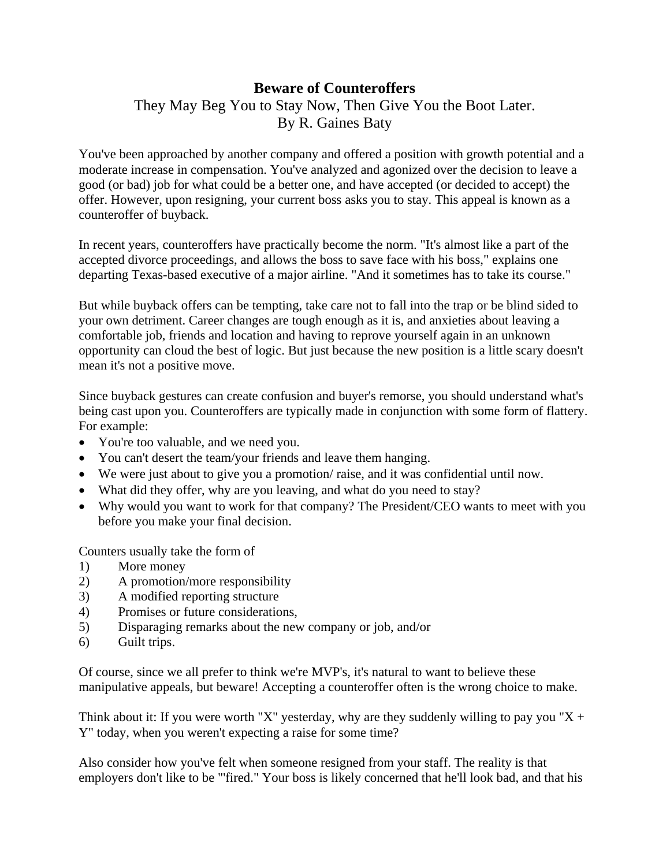## **Beware of Counteroffers**

## They May Beg You to Stay Now, Then Give You the Boot Later. By R. Gaines Baty

You've been approached by another company and offered a position with growth potential and a moderate increase in compensation. You've analyzed and agonized over the decision to leave a good (or bad) job for what could be a better one, and have accepted (or decided to accept) the offer. However, upon resigning, your current boss asks you to stay. This appeal is known as a counteroffer of buyback.

In recent years, counteroffers have practically become the norm. "It's almost like a part of the accepted divorce proceedings, and allows the boss to save face with his boss," explains one departing Texas-based executive of a major airline. "And it sometimes has to take its course."

But while buyback offers can be tempting, take care not to fall into the trap or be blind sided to your own detriment. Career changes are tough enough as it is, and anxieties about leaving a comfortable job, friends and location and having to reprove yourself again in an unknown opportunity can cloud the best of logic. But just because the new position is a little scary doesn't mean it's not a positive move.

Since buyback gestures can create confusion and buyer's remorse, you should understand what's being cast upon you. Counteroffers are typically made in conjunction with some form of flattery. For example:

- You're too valuable, and we need you.
- You can't desert the team/your friends and leave them hanging.
- We were just about to give you a promotion/ raise, and it was confidential until now.
- What did they offer, why are you leaving, and what do you need to stay?
- Why would you want to work for that company? The President/CEO wants to meet with you before you make your final decision.

Counters usually take the form of

- 1) More money
- 2) A promotion/more responsibility
- 3) A modified reporting structure
- 4) Promises or future considerations,
- 5) Disparaging remarks about the new company or job, and/or
- 6) Guilt trips.

Of course, since we all prefer to think we're MVP's, it's natural to want to believe these manipulative appeals, but beware! Accepting a counteroffer often is the wrong choice to make.

Think about it: If you were worth "X" yesterday, why are they suddenly willing to pay you "X + Y" today, when you weren't expecting a raise for some time?

Also consider how you've felt when someone resigned from your staff. The reality is that employers don't like to be "'fired." Your boss is likely concerned that he'll look bad, and that his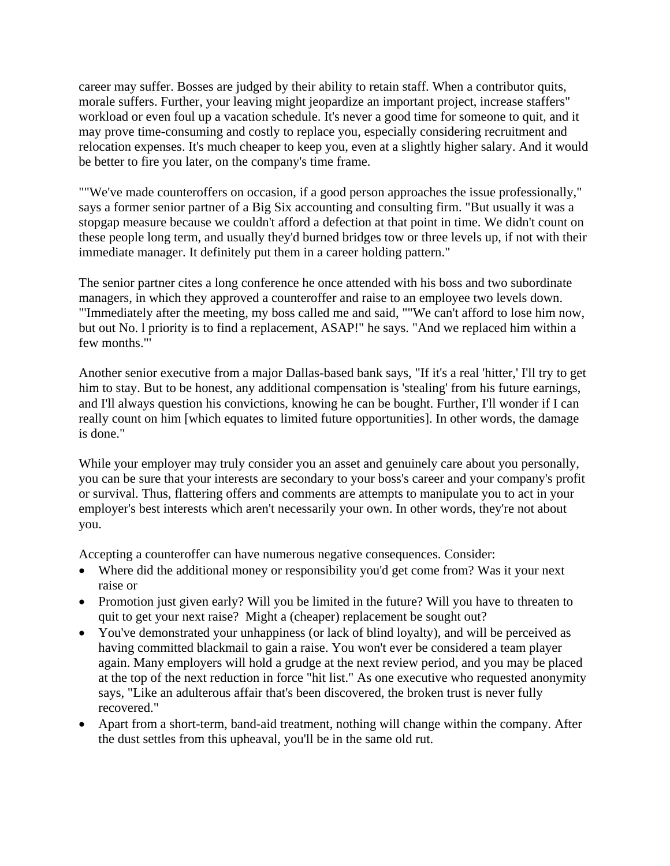career may suffer. Bosses are judged by their ability to retain staff. When a contributor quits, morale suffers. Further, your leaving might jeopardize an important project, increase staffers" workload or even foul up a vacation schedule. It's never a good time for someone to quit, and it may prove time-consuming and costly to replace you, especially considering recruitment and relocation expenses. It's much cheaper to keep you, even at a slightly higher salary. And it would be better to fire you later, on the company's time frame.

""We've made counteroffers on occasion, if a good person approaches the issue professionally," says a former senior partner of a Big Six accounting and consulting firm. "But usually it was a stopgap measure because we couldn't afford a defection at that point in time. We didn't count on these people long term, and usually they'd burned bridges tow or three levels up, if not with their immediate manager. It definitely put them in a career holding pattern."

The senior partner cites a long conference he once attended with his boss and two subordinate managers, in which they approved a counteroffer and raise to an employee two levels down. "'Immediately after the meeting, my boss called me and said, ""We can't afford to lose him now, but out No. l priority is to find a replacement, ASAP!" he says. "And we replaced him within a few months."'

Another senior executive from a major Dallas-based bank says, "If it's a real 'hitter,' I'll try to get him to stay. But to be honest, any additional compensation is 'stealing' from his future earnings, and I'll always question his convictions, knowing he can be bought. Further, I'll wonder if I can really count on him [which equates to limited future opportunities]. In other words, the damage is done."

While your employer may truly consider you an asset and genuinely care about you personally, you can be sure that your interests are secondary to your boss's career and your company's profit or survival. Thus, flattering offers and comments are attempts to manipulate you to act in your employer's best interests which aren't necessarily your own. In other words, they're not about you.

Accepting a counteroffer can have numerous negative consequences. Consider:

- Where did the additional money or responsibility you'd get come from? Was it your next raise or
- Promotion just given early? Will you be limited in the future? Will you have to threaten to quit to get your next raise? Might a (cheaper) replacement be sought out?
- You've demonstrated your unhappiness (or lack of blind loyalty), and will be perceived as having committed blackmail to gain a raise. You won't ever be considered a team player again. Many employers will hold a grudge at the next review period, and you may be placed at the top of the next reduction in force "hit list." As one executive who requested anonymity says, "Like an adulterous affair that's been discovered, the broken trust is never fully recovered."
- Apart from a short-term, band-aid treatment, nothing will change within the company. After the dust settles from this upheaval, you'll be in the same old rut.